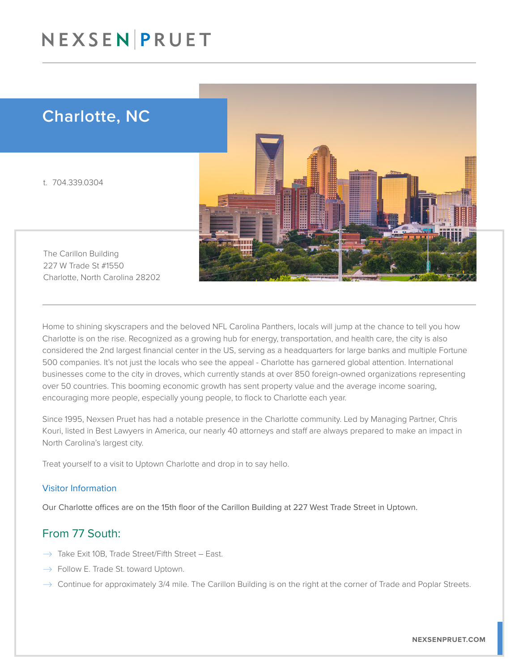## NEXSENPRUET

### Charlotte, NC

t. 704.339.0304



The Carillon Building 227 W Trade St #1550 Charlotte, North Carolina 28202

Home to shining skyscrapers and the beloved NFL Carolina Panthers, locals will jump at the chance to tell you how Charlotte is on the rise. Recognized as a growing hub for energy, transportation, and health care, the city is also considered the 2nd largest financial center in the US, serving as a headquarters for large banks and multiple Fortune 500 companies. It's not just the locals who see the appeal - Charlotte has garnered global attention. International businesses come to the city in droves, which currently stands at over 850 foreign-owned organizations representing over 50 countries. This booming economic growth has sent property value and the average income soaring, encouraging more people, especially young people, to flock to Charlotte each year.

Since 1995, Nexsen Pruet has had a notable presence in the Charlotte community. Led by Managing Partner, Chris Kouri, listed in Best Lawyers in America, our nearly 40 attorneys and staff are always prepared to make an impact in North Carolina's largest city.

Treat yourself to a visit to Uptown Charlotte and drop in to say hello.

#### Visitor Information

Our Charlotte offices are on the 15th floor of the Carillon Building at 227 West Trade Street in Uptown.

#### From 77 South:

- $\rightarrow$  Take Exit 10B, Trade Street/Fifth Street East.
- $\rightarrow$  Follow E. Trade St. toward Uptown.
- $\rightarrow$  Continue for approximately 3/4 mile. The Carillon Building is on the right at the corner of Trade and Poplar Streets.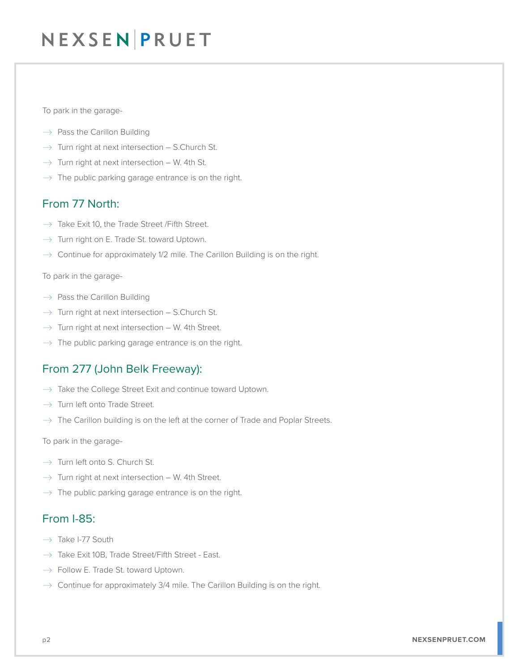## NEXSEN PRUET

To park in the garage-

- $\rightarrow$  Pass the Carillon Building
- $\rightarrow$  Turn right at next intersection S.Church St.
- $\rightarrow$  Turn right at next intersection W. 4th St.
- $\rightarrow$  The public parking garage entrance is on the right.

### From 77 North:

- $\rightarrow$  Take Exit 10, the Trade Street / Fifth Street.
- $\rightarrow$  Turn right on E. Trade St. toward Uptown.
- $\rightarrow$  Continue for approximately 1/2 mile. The Carillon Building is on the right.

To park in the garage-

- $\rightarrow$  Pass the Carillon Building
- $\rightarrow$  Turn right at next intersection S.Church St.
- $\rightarrow$  Turn right at next intersection W. 4th Street.
- $\rightarrow$  The public parking garage entrance is on the right.

### From 277 (John Belk Freeway):

- $\rightarrow$  Take the College Street Exit and continue toward Uptown.
- $\rightarrow$  Turn left onto Trade Street.
- $\rightarrow$  The Carillon building is on the left at the corner of Trade and Poplar Streets.

To park in the garage-

- $\rightarrow$  Turn left onto S. Church St.
- $\rightarrow$  Turn right at next intersection W. 4th Street.
- $\rightarrow$  The public parking garage entrance is on the right.

### From I-85:

- $\rightarrow$  Take I-77 South
- $\rightarrow$  Take Exit 10B, Trade Street/Fifth Street East.
- $\rightarrow$  Follow E. Trade St. toward Uptown.
- $\rightarrow$  Continue for approximately 3/4 mile. The Carillon Building is on the right.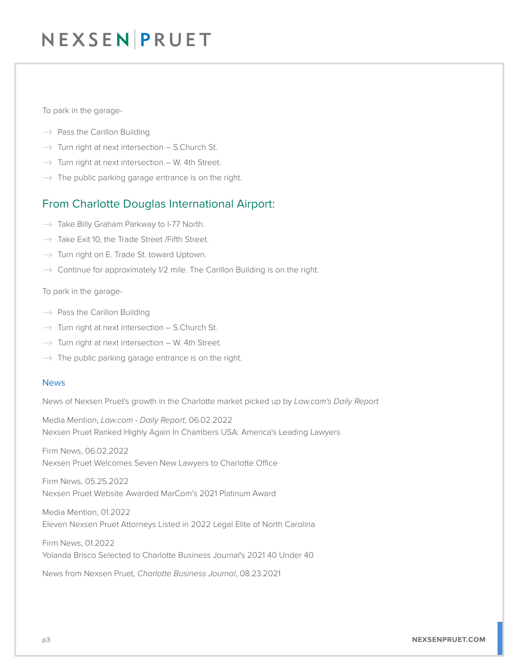## NEXSEN PRUET

To park in the garage-

- $\rightarrow$  Pass the Carillon Building
- $\rightarrow$  Turn right at next intersection S.Church St.
- $\rightarrow$  Turn right at next intersection W. 4th Street.
- $\rightarrow$  The public parking garage entrance is on the right.

### From Charlotte Douglas International Airport:

- $\rightarrow$  Take Billy Graham Parkway to I-77 North.
- $\rightarrow$  Take Exit 10, the Trade Street / Fifth Street.
- $\rightarrow$  Turn right on E. Trade St. toward Uptown.
- $\rightarrow$  Continue for approximately 1/2 mile. The Carillon Building is on the right.

To park in the garage-

- $\rightarrow$  Pass the Carillon Building
- $\rightarrow$  Turn right at next intersection S.Church St.
- $\rightarrow$  Turn right at next intersection W. 4th Street.
- $\rightarrow$  The public parking garage entrance is on the right.

#### News

News of Nexsen Pruet's growth in the Charlotte market picked up by *Law.com's Daily Report*

Media Mention, *Law.com - Daily Report*, 06.02.2022 Nexsen Pruet Ranked Highly Again In Chambers USA: America's Leading Lawyers

Firm News, 06.02.2022 Nexsen Pruet Welcomes Seven New Lawyers to Charlotte Office

Firm News, 05.25.2022 Nexsen Pruet Website Awarded MarCom's 2021 Platinum Award

Media Mention, 01.2022 Eleven Nexsen Pruet Attorneys Listed in 2022 Legal Elite of North Carolina

Firm News, 01.2022 Yolanda Brisco Selected to Charlotte Business Journal's 2021 40 Under 40

News from Nexsen Pruet, *Charlotte Business Journal*, 08.23.2021